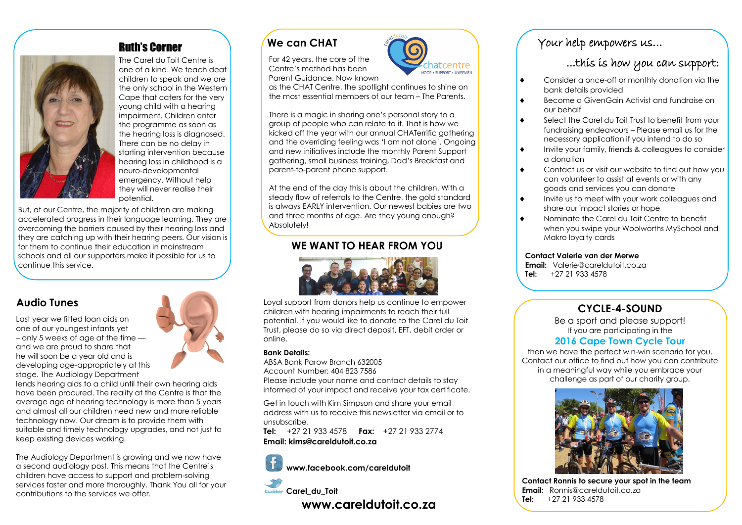### Ruth's Corner



The Carel du Toit Centre is one of a kind. We teach deaf children to speak and we are the only school in the Western Cape that caters for the very young child with a hearing impairment. Children enter the programme as soon as the hearing loss is diagnosed. There can be no delay in starting intervention because hearing loss in childhood is a neuro-developmental emergency. Without help they will never realise their potential.

But, at our Centre, the majority of children are making accelerated progress in their language learning. They are overcoming the barriers caused by their hearing loss and they are catching up with their hearing peers. Our vision is for them to continue their education in mainstream schools and all our supporters make it possible for us to continue this service.

### **Audio Tunes**

Last year we fitted loan aids on one of our youngest infants yet – only 5 weeks of age at the time and we are proud to share that he will soon be a year old and is developing age-appropriately at this stage. The Audiology Department

lends hearing aids to a child until their own hearing aids have been procured. The reality at the Centre is that the average age of hearing technology is more than 5 years and almost all our children need new and more reliable technology now. Our dream is to provide them with suitable and timely technology upgrades, and not just to keep existing devices working.

The Audiology Department is growing and we now have a second audiology post. This means that the Centre's children have access to support and problem-solving services faster and more thoroughly. Thank You all for your contributions to the services we offer.



### **We can CHAT**

For 42 years, the core of the Centre's method has been Parent Guidance. Now known

as the CHAT Centre, the spotlight continues to shine on the most essential members of our team – The Parents.

HOOP . SUPPORT . UVICEMEL

There is a magic in sharing one's personal story to a group of people who can relate to it. That is how we kicked off the year with our annual CHATerrific gathering and the overriding feeling was 'I am not alone'. Ongoing and new initiatives include the monthly Parent Support gathering, small business training, Dad's Breakfast and parent-to-parent phone support.

At the end of the day this is about the children. With a steady flow of referrals to the Centre, the gold standard is always EARLY intervention. Our newest babies are two and three months of age. Are they young enough? Absolutely!

### **WE WANT TO HEAR FROM YOU**



Loyal support from donors help us continue to empower children with hearing impairments to reach their full potential. If you would like to donate to the Carel du Toit Trust, please do so via direct deposit, EFT, debit order or online.

#### **Bank Details:**

ABSA Bank Parow Branch 632005 Account Number: 404 823 7586 Please include your name and contact details to stay informed of your impact and receive your tax certificate.

Get in touch with Kim Simpson and share your email address with us to receive this newsletter via email or to unsubscribe.

**Tel:** +27 21 933 4578 **Fax:** +27 21 933 2774 **Email: kims@careldutoit.co.za**

**www.facebook.com/careldutoit**



**www.careldutoit.co.za**

### Your help empowers us…

## ...this is how you can support:

- Consider a once-off or monthly donation via the bank details provided
- ◆ Become a GivenGain Activist and fundraise on our behalf
- ◆ Select the Carel du Toit Trust to benefit from your fundraising endeavours – Please email us for the necessary application if you intend to do so
- Invite your family, friends & colleagues to consider a donation
- $\bullet$  Contact us or visit our website to find out how you can volunteer to assist at events or with any goods and services you can donate
- Invite us to meet with your work colleagues and share our impact stories or hope
- ◆ Nominate the Carel du Toit Centre to benefit when you swipe your Woolworths MySchool and Makro loyalty cards

#### **Contact Valerie van der Merwe**

**Email:** Valerie@careldutoit.co.za  **Tel:** +27 21 933 4578

### **CYCLE-4-SOUND**

Be a sport and please support! If you are participating in the

### **2016 Cape Town Cycle Tour**

then we have the perfect win-win scenario for you. Contact our office to find out how you can contribute in a meaningful way while you embrace your challenge as part of our charity group.



 **Contact Ronnis to secure your spot in the team Email:** Ronnis@careldutoit.co.za  **Tel:** +27 21 933 4578